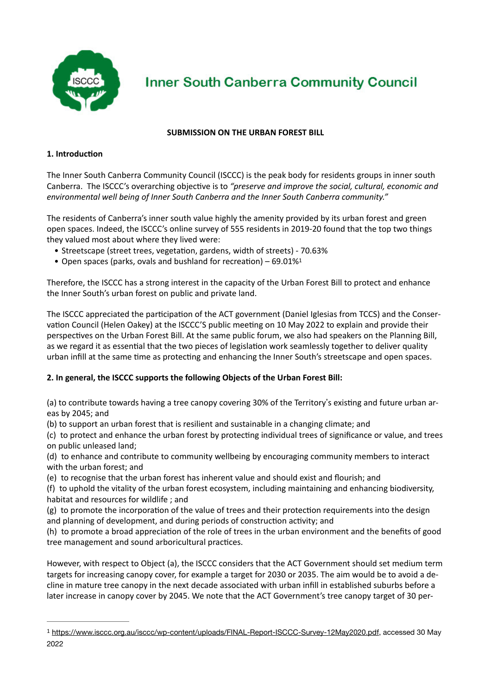

**Inner South Canberra Community Council** 

## <span id="page-0-1"></span>**SUBMISSION ON THE URBAN FOREST BILL**

## **1. Introduction**

The Inner South Canberra Community Council (ISCCC) is the peak body for residents groups in inner south Canberra. The ISCCC's overarching objective is to *"preserve and improve the social, cultural, economic and environmental well being of Inner South Canberra and the Inner South Canberra community."*

The residents of Canberra's inner south value highly the amenity provided by its urban forest and green open spaces. Indeed, the ISCCC's online survey of 555 residents in 2019-20 found that the top two things they valued most about where they lived were:

- Streetscape (street trees, vegetation, gardens, width of streets) 70.63%
- Open spaces (parks, ovals and bushland for recreation) 69.01[%1](#page-0-0)

Therefore, the ISCCC has a strong interest in the capacity of the Urban Forest Bill to protect and enhance the Inner South's urban forest on public and private land.

The ISCCC appreciated the participation of the ACT government (Daniel Iglesias from TCCS) and the Conservation Council (Helen Oakey) at the ISCCC'S public meeting on 10 May 2022 to explain and provide their perspectives on the Urban Forest Bill. At the same public forum, we also had speakers on the Planning Bill, as we regard it as essential that the two pieces of legislation work seamlessly together to deliver quality urban infill at the same time as protecting and enhancing the Inner South's streetscape and open spaces.

## **2. In general, the ISCCC supports the following Objects of the Urban Forest Bill:**

(a) to contribute towards having a tree canopy covering 30% of the Territory's existing and future urban areas by 2045; and

(b) to support an urban forest that is resilient and sustainable in a changing climate; and

(c) to protect and enhance the urban forest by protecting individual trees of significance or value, and trees on public unleased land;

(d) to enhance and contribute to community wellbeing by encouraging community members to interact with the urban forest; and

(e) to recognise that the urban forest has inherent value and should exist and flourish; and

(f) to uphold the vitality of the urban forest ecosystem, including maintaining and enhancing biodiversity, habitat and resources for wildlife ; and

(g) to promote the incorporation of the value of trees and their protection requirements into the design and planning of development, and during periods of construction activity; and

(h) to promote a broad appreciation of the role of trees in the urban environment and the benefits of good tree management and sound arboricultural practices.

However, with respect to Object (a), the ISCCC considers that the ACT Government should set medium term targets for increasing canopy cover, for example a target for 2030 or 2035. The aim would be to avoid a decline in mature tree canopy in the next decade associated with urban infill in established suburbs before a later increase in canopy cover by 2045. We note that the ACT Government's tree canopy target of 30 per-

<span id="page-0-0"></span><https://www.isccc.org.au/isccc/wp-content/uploads/FINAL-Report-ISCCC-Survey-12May2020.pdf>, accessed 30 May [1](#page-0-1) 2022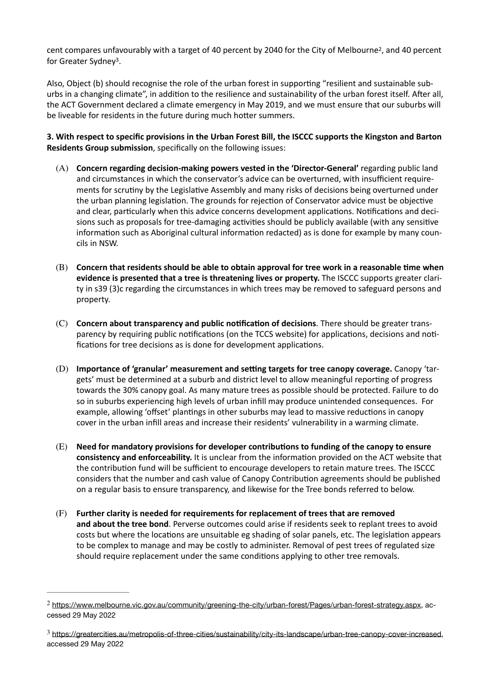<span id="page-1-3"></span><span id="page-1-2"></span>cent compares unfavourably with a target of 40 percent by [2](#page-1-0)040 for the City of Melbourne<sup>2</sup>, and 40 percent for Greater Sydney<sup>[3](#page-1-1)</sup>.

Also, Object (b) should recognise the role of the urban forest in supporting "resilient and sustainable suburbs in a changing climate", in addition to the resilience and sustainability of the urban forest itself. After all, the ACT Government declared a climate emergency in May 2019, and we must ensure that our suburbs will be liveable for residents in the future during much hotter summers.

**3. With respect to specific provisions in the Urban Forest Bill, the ISCCC supports the Kingston and Barton Residents Group submission**, specifically on the following issues:

- (A) **Concern regarding decision-making powers vested in the 'Director-General'** regarding public land and circumstances in which the conservator's advice can be overturned, with insufficient requirements for scrutiny by the Legislative Assembly and many risks of decisions being overturned under the urban planning legislation. The grounds for rejection of Conservator advice must be objective and clear, particularly when this advice concerns development applications. Notifications and decisions such as proposals for tree-damaging activities should be publicly available (with any sensitive information such as Aboriginal cultural information redacted) as is done for example by many councils in NSW.
- (B) **Concern that residents should be able to obtain approval for tree work in a reasonable time when evidence is presented that a tree is threatening lives or property.** The ISCCC supports greater clarity in s39 (3)c regarding the circumstances in which trees may be removed to safeguard persons and property.
- (C) **Concern about transparency and public notification of decisions**. There should be greater transparency by requiring public notifications (on the TCCS website) for applications, decisions and notifications for tree decisions as is done for development applications.
- (D) **Importance of 'granular' measurement and setting targets for tree canopy coverage.** Canopy 'targets' must be determined at a suburb and district level to allow meaningful reporting of progress towards the 30% canopy goal. As many mature trees as possible should be protected. Failure to do so in suburbs experiencing high levels of urban infill may produce unintended consequences. For example, allowing 'offset' plantings in other suburbs may lead to massive reductions in canopy cover in the urban infill areas and increase their residents' vulnerability in a warming climate.
- (E) **Need for mandatory provisions for developer contributions to funding of the canopy to ensure consistency and enforceability.** It is unclear from the information provided on the ACT website that the contribution fund will be sufficient to encourage developers to retain mature trees. The ISCCC considers that the number and cash value of Canopy Contribution agreements should be published on a regular basis to ensure transparency, and likewise for the Tree bonds referred to below.
- (F) **Further clarity is needed for requirements for replacement of trees that are removed and about the tree bond**. Perverse outcomes could arise if residents seek to replant trees to avoid costs but where the locations are unsuitable eg shading of solar panels, etc. The legislation appears to be complex to manage and may be costly to administer. Removal of pest trees of regulated size should require replacement under the same conditions applying to other tree removals.

<span id="page-1-0"></span><sup>&</sup>lt;sup>2</sup> <https://www.melbourne.vic.gov.au/community/greening-the-city/urban-forest/Pages/urban-forest-strategy.aspx>, accessed 29 May 2022

<span id="page-1-1"></span>[https://greatercities.au/metropolis-of-three-cities/sustainability/city-its-landscape/urban-tree-canopy-cover-increased,](https://greatercities.au/metropolis-of-three-cities/sustainability/city-its-landscape/urban-tree-canopy-cover-increased) [3](#page-1-3) accessed 29 May 2022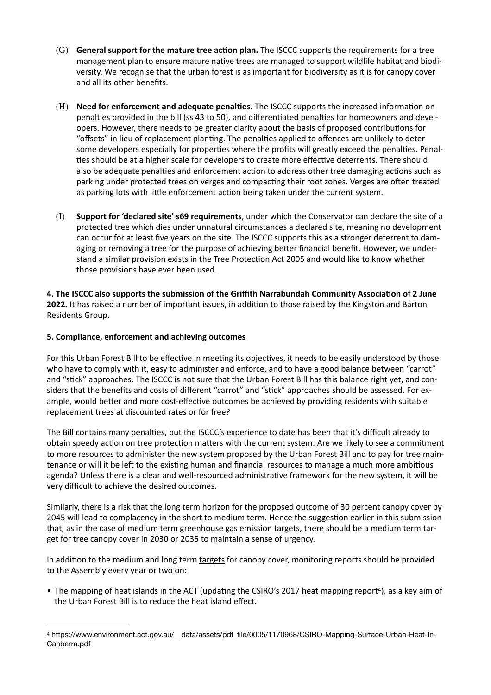- (G) **General support for the mature tree action plan.** The ISCCC supports the requirements for a tree management plan to ensure mature native trees are managed to support wildlife habitat and biodiversity. We recognise that the urban forest is as important for biodiversity as it is for canopy cover and all its other benefits.
- (H) **Need for enforcement and adequate penalties**. The ISCCC supports the increased information on penalties provided in the bill (ss 43 to 50), and differentiated penalties for homeowners and developers. However, there needs to be greater clarity about the basis of proposed contributions for "offsets" in lieu of replacement planting. The penalties applied to offences are unlikely to deter some developers especially for properties where the profits will greatly exceed the penalties. Penal ties should be at a higher scale for developers to create more effective deterrents. There should also be adequate penalties and enforcement action to address other tree damaging actions such as parking under protected trees on verges and compacting their root zones. Verges are often treated as parking lots with little enforcement action being taken under the current system.
- (I) **Support for 'declared site' s69 requirements**, under which the Conservator can declare the site of a protected tree which dies under unnatural circumstances a declared site, meaning no development can occur for at least five years on the site. The ISCCC supports this as a stronger deterrent to damaging or removing a tree for the purpose of achieving better financial benefit. However, we understand a similar provision exists in the Tree Protection Act 2005 and would like to know whether those provisions have ever been used.

**4. The ISCCC also supports the submission of the Griffith Narrabundah Community Association of 2 June 2022.** It has raised a number of important issues, in addition to those raised by the Kingston and Barton Residents Group.

## **5. Compliance, enforcement and achieving outcomes**

For this Urban Forest Bill to be effective in meeting its objectives, it needs to be easily understood by those who have to comply with it, easy to administer and enforce, and to have a good balance between "carrot" and "stick" approaches. The ISCCC is not sure that the Urban Forest Bill has this balance right yet, and considers that the benefits and costs of different "carrot" and "stick" approaches should be assessed. For example, would better and more cost-effective outcomes be achieved by providing residents with suitable replacement trees at discounted rates or for free?

The Bill contains many penalties, but the ISCCC's experience to date has been that it's difficult already to obtain speedy action on tree protection matters with the current system. Are we likely to see a commitment to more resources to administer the new system proposed by the Urban Forest Bill and to pay for tree maintenance or will it be left to the existing human and financial resources to manage a much more ambitious agenda? Unless there is a clear and well-resourced administrative framework for the new system, it will be very difficult to achieve the desired outcomes.

Similarly, there is a risk that the long term horizon for the proposed outcome of 30 percent canopy cover by 2045 will lead to complacency in the short to medium term. Hence the suggestion earlier in this submission that, as in the case of medium term greenhouse gas emission targets, there should be a medium term target for tree canopy cover in 2030 or 2035 to maintain a sense of urgency.

In addition to the medium and long term targets for canopy cover, monitoring reports should be provided to the Assembly every year or two on:

<span id="page-2-1"></span>• The mapping of heat islands in the ACT (updating the CSIRO's 2017 heat mapping report<sup>4</sup>[\)](#page-2-0), as a key aim of the Urban Forest Bill is to reduce the heat island effect.

<span id="page-2-0"></span>https://www.environment.act.gov.au/\_\_data/assets/pdf\_file/0005/1170968/CSIRO-Mapping-Surface-Urban-Heat-In- [4](#page-2-1) Canberra.pdf